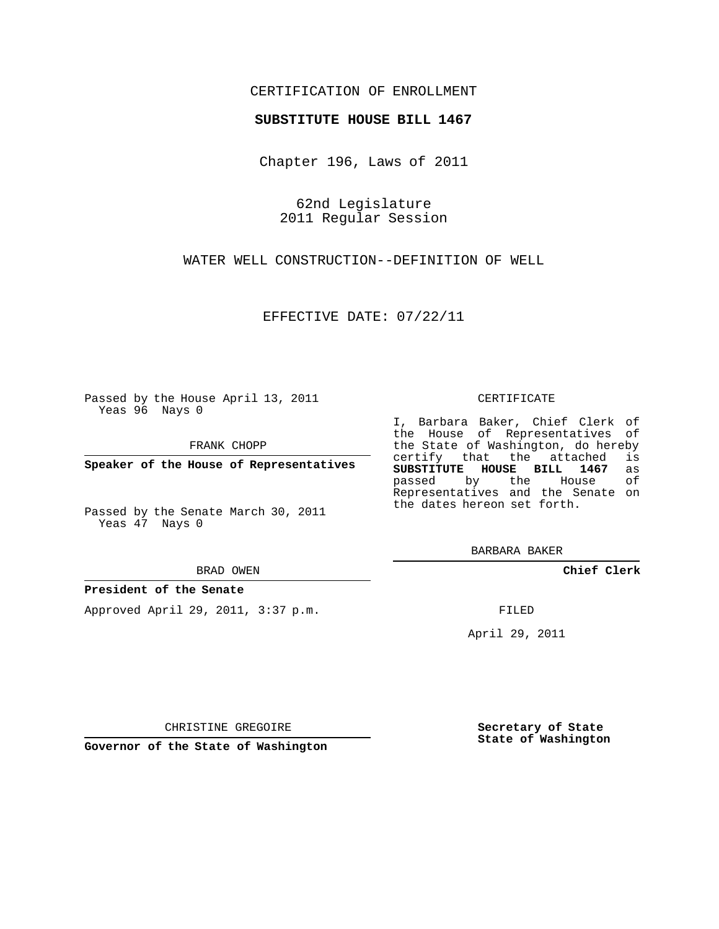# CERTIFICATION OF ENROLLMENT

## **SUBSTITUTE HOUSE BILL 1467**

Chapter 196, Laws of 2011

62nd Legislature 2011 Regular Session

WATER WELL CONSTRUCTION--DEFINITION OF WELL

EFFECTIVE DATE: 07/22/11

Passed by the House April 13, 2011 Yeas 96 Nays 0

FRANK CHOPP

**Speaker of the House of Representatives**

Passed by the Senate March 30, 2011 Yeas 47 Nays 0

#### BRAD OWEN

## **President of the Senate**

Approved April 29, 2011, 3:37 p.m.

#### CERTIFICATE

I, Barbara Baker, Chief Clerk of the House of Representatives of the State of Washington, do hereby<br>certify that the attached is certify that the attached **SUBSTITUTE HOUSE BILL 1467** as passed by the House of Representatives and the Senate on the dates hereon set forth.

BARBARA BAKER

**Chief Clerk**

FILED

April 29, 2011

CHRISTINE GREGOIRE

**Governor of the State of Washington**

**Secretary of State State of Washington**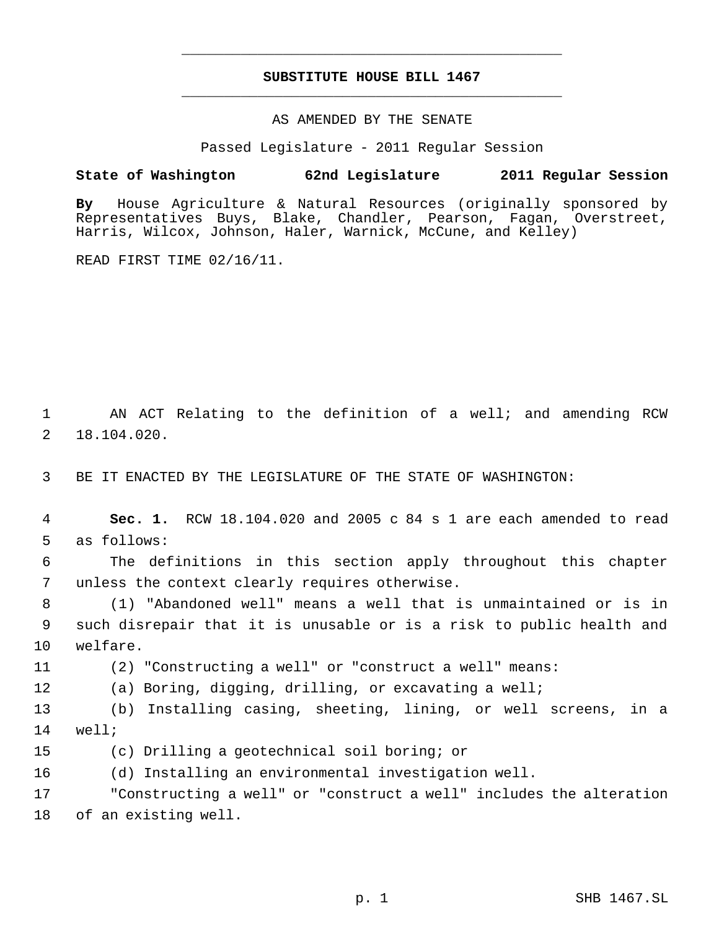# **SUBSTITUTE HOUSE BILL 1467** \_\_\_\_\_\_\_\_\_\_\_\_\_\_\_\_\_\_\_\_\_\_\_\_\_\_\_\_\_\_\_\_\_\_\_\_\_\_\_\_\_\_\_\_\_

\_\_\_\_\_\_\_\_\_\_\_\_\_\_\_\_\_\_\_\_\_\_\_\_\_\_\_\_\_\_\_\_\_\_\_\_\_\_\_\_\_\_\_\_\_

## AS AMENDED BY THE SENATE

Passed Legislature - 2011 Regular Session

# **State of Washington 62nd Legislature 2011 Regular Session**

**By** House Agriculture & Natural Resources (originally sponsored by Representatives Buys, Blake, Chandler, Pearson, Fagan, Overstreet, Harris, Wilcox, Johnson, Haler, Warnick, McCune, and Kelley)

READ FIRST TIME 02/16/11.

 AN ACT Relating to the definition of a well; and amending RCW 18.104.020.

BE IT ENACTED BY THE LEGISLATURE OF THE STATE OF WASHINGTON:

 **Sec. 1.** RCW 18.104.020 and 2005 c 84 s 1 are each amended to read as follows:

 The definitions in this section apply throughout this chapter unless the context clearly requires otherwise.

 (1) "Abandoned well" means a well that is unmaintained or is in such disrepair that it is unusable or is a risk to public health and welfare.

(2) "Constructing a well" or "construct a well" means:

(a) Boring, digging, drilling, or excavating a well;

 (b) Installing casing, sheeting, lining, or well screens, in a well;

(c) Drilling a geotechnical soil boring; or

(d) Installing an environmental investigation well.

 "Constructing a well" or "construct a well" includes the alteration of an existing well.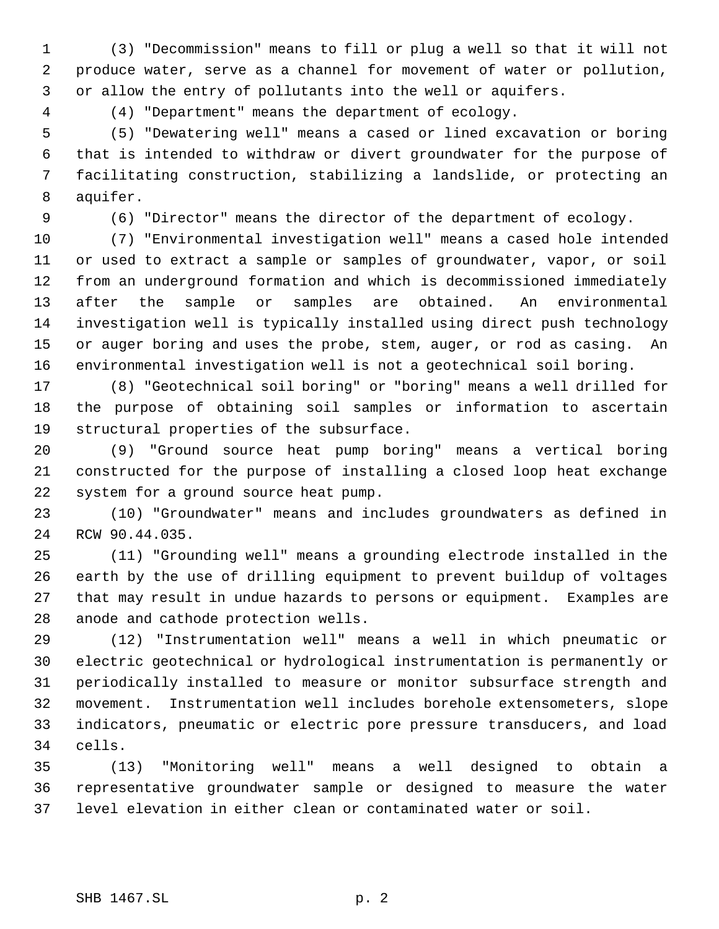(3) "Decommission" means to fill or plug a well so that it will not produce water, serve as a channel for movement of water or pollution, or allow the entry of pollutants into the well or aquifers.

(4) "Department" means the department of ecology.

 (5) "Dewatering well" means a cased or lined excavation or boring that is intended to withdraw or divert groundwater for the purpose of facilitating construction, stabilizing a landslide, or protecting an aquifer.

(6) "Director" means the director of the department of ecology.

 (7) "Environmental investigation well" means a cased hole intended or used to extract a sample or samples of groundwater, vapor, or soil from an underground formation and which is decommissioned immediately after the sample or samples are obtained. An environmental investigation well is typically installed using direct push technology or auger boring and uses the probe, stem, auger, or rod as casing. An environmental investigation well is not a geotechnical soil boring.

 (8) "Geotechnical soil boring" or "boring" means a well drilled for the purpose of obtaining soil samples or information to ascertain structural properties of the subsurface.

 (9) "Ground source heat pump boring" means a vertical boring constructed for the purpose of installing a closed loop heat exchange system for a ground source heat pump.

 (10) "Groundwater" means and includes groundwaters as defined in RCW 90.44.035.

 (11) "Grounding well" means a grounding electrode installed in the earth by the use of drilling equipment to prevent buildup of voltages that may result in undue hazards to persons or equipment. Examples are anode and cathode protection wells.

 (12) "Instrumentation well" means a well in which pneumatic or electric geotechnical or hydrological instrumentation is permanently or periodically installed to measure or monitor subsurface strength and movement. Instrumentation well includes borehole extensometers, slope indicators, pneumatic or electric pore pressure transducers, and load cells.

 (13) "Monitoring well" means a well designed to obtain a representative groundwater sample or designed to measure the water level elevation in either clean or contaminated water or soil.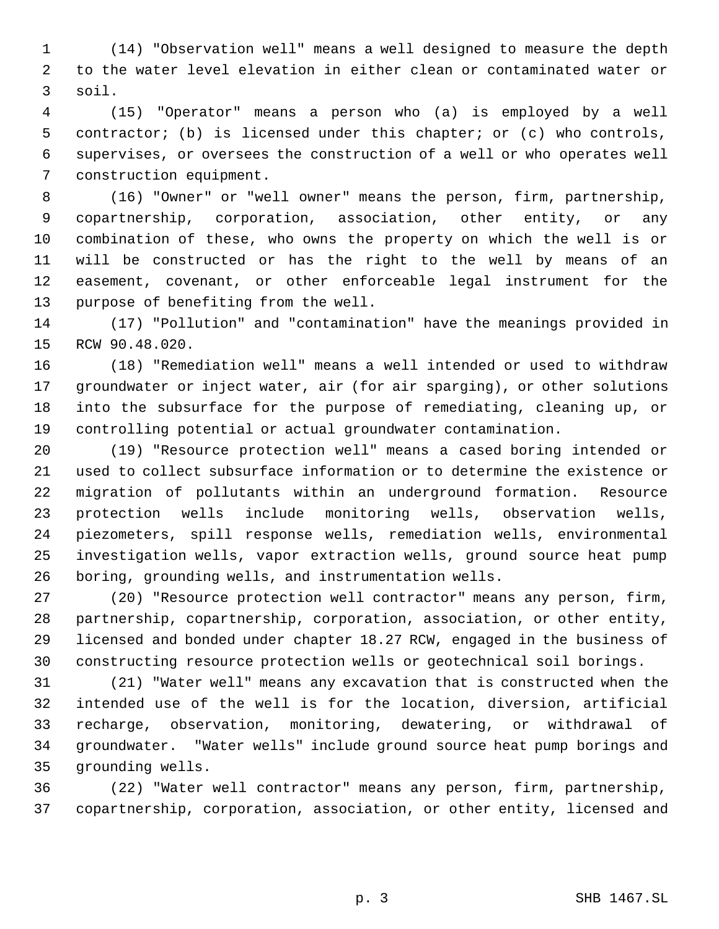(14) "Observation well" means a well designed to measure the depth to the water level elevation in either clean or contaminated water or soil.

 (15) "Operator" means a person who (a) is employed by a well contractor; (b) is licensed under this chapter; or (c) who controls, supervises, or oversees the construction of a well or who operates well construction equipment.

 (16) "Owner" or "well owner" means the person, firm, partnership, copartnership, corporation, association, other entity, or any combination of these, who owns the property on which the well is or will be constructed or has the right to the well by means of an easement, covenant, or other enforceable legal instrument for the purpose of benefiting from the well.

 (17) "Pollution" and "contamination" have the meanings provided in RCW 90.48.020.

 (18) "Remediation well" means a well intended or used to withdraw groundwater or inject water, air (for air sparging), or other solutions into the subsurface for the purpose of remediating, cleaning up, or controlling potential or actual groundwater contamination.

 (19) "Resource protection well" means a cased boring intended or used to collect subsurface information or to determine the existence or migration of pollutants within an underground formation. Resource protection wells include monitoring wells, observation wells, piezometers, spill response wells, remediation wells, environmental investigation wells, vapor extraction wells, ground source heat pump boring, grounding wells, and instrumentation wells.

 (20) "Resource protection well contractor" means any person, firm, partnership, copartnership, corporation, association, or other entity, licensed and bonded under chapter 18.27 RCW, engaged in the business of constructing resource protection wells or geotechnical soil borings.

 (21) "Water well" means any excavation that is constructed when the intended use of the well is for the location, diversion, artificial recharge, observation, monitoring, dewatering, or withdrawal of groundwater. "Water wells" include ground source heat pump borings and grounding wells.

 (22) "Water well contractor" means any person, firm, partnership, copartnership, corporation, association, or other entity, licensed and